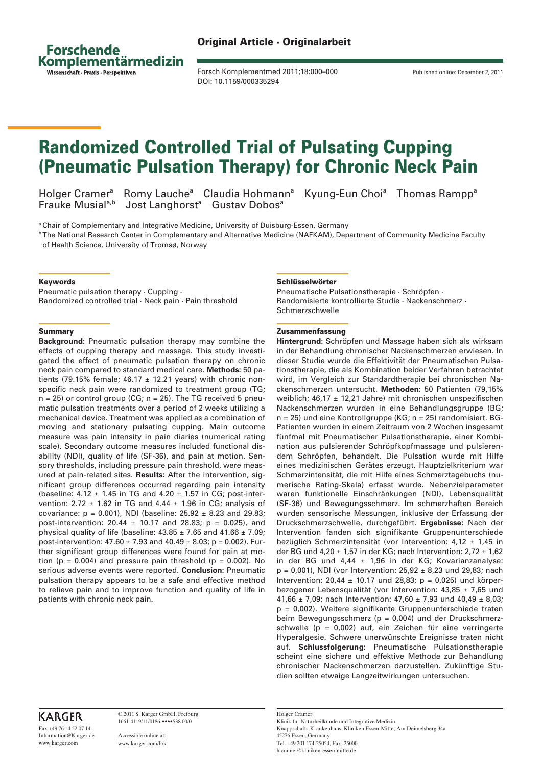

Forsch Komplementmed 2011;18:000–000 Published online: December 2, 2011 DOI: 10.1159/000335294

# Randomized Controlled Trial of Pulsating Cupping (Pneumatic Pulsation Therapy) for Chronic Neck Pain

Holger Cramer<sup>a</sup> Romy Lauche<sup>a</sup> Claudia Hohmann<sup>a</sup> Kyung-Eun Choi<sup>a</sup> Thomas Rampp<sup>a</sup> Frauke Musial<sup>a,b</sup> Jost Langhorst<sup>a</sup> Gustav Dobos<sup>a</sup>

<sup>a</sup> Chair of Complementary and Integrative Medicine, University of Duisburg-Essen, Germany

b The National Research Center in Complementary and Alternative Medicine (NAFKAM), Department of Community Medicine Faculty of Health Science, University of Tromsø, Norway

#### Keywords

Pneumatic pulsation therapy · Cupping · Randomized controlled trial · Neck pain · Pain threshold

## Summary

**Background:** Pneumatic pulsation therapy may combine the effects of cupping therapy and massage. This study investigated the effect of pneumatic pulsation therapy on chronic neck pain compared to standard medical care. **Methods:** 50 patients (79.15% female;  $46.17 \pm 12.21$  years) with chronic nonspecific neck pain were randomized to treatment group (TG;  $n = 25$ ) or control group (CG;  $n = 25$ ). The TG received 5 pneumatic pulsation treatments over a period of 2 weeks utilizing a mechanical device. Treatment was applied as a combination of moving and stationary pulsating cupping. Main outcome measure was pain intensity in pain diaries (numerical rating scale). Secondary outcome measures included functional disability (NDI), quality of life (SF-36), and pain at motion. Sensory thresholds, including pressure pain threshold, were measured at pain-related sites. **Results:** After the intervention, significant group differences occurred regarding pain intensity (baseline:  $4.12 \pm 1.45$  in TG and  $4.20 \pm 1.57$  in CG; post-intervention:  $2.72 \pm 1.62$  in TG and  $4.44 \pm 1.96$  in CG; analysis of covariance:  $p = 0.001$ , NDI (baseline:  $25.92 \pm 8.23$  and  $29.83$ ; post-intervention: 20.44  $\pm$  10.17 and 28.83; p = 0.025), and physical quality of life (baseline:  $43.85 \pm 7.65$  and  $41.66 \pm 7.09$ ; post-intervention:  $47.60 \pm 7.93$  and  $40.49 \pm 8.03$ ; p = 0.002). Further significant group differences were found for pain at motion ( $p = 0.004$ ) and pressure pain threshold ( $p = 0.002$ ). No serious adverse events were reported. **Conclusion:** Pneumatic pulsation therapy appears to be a safe and effective method to relieve pain and to improve function and quality of life in patients with chronic neck pain.

#### Schlüsselwörter

Pneumatische Pulsationstherapie · Schröpfen · Randomisierte kontrollierte Studie · Nackenschmerz · Schmerzschwelle

#### Zusammenfassung

**Hintergrund:** Schröpfen und Massage haben sich als wirksam in der Behandlung chronischer Nackenschmerzen erwiesen. In dieser Studie wurde die Effektivität der Pneumatischen Pulsationstherapie, die als Kombination beider Verfahren betrachtet wird, im Vergleich zur Standardtherapie bei chronischen Nackenschmerzen untersucht. **Methoden:** 50 Patienten (79,15% weiblich:  $46.17 \pm 12.21$  Jahre) mit chronischen unspezifischen Nackenschmerzen wurden in eine Behandlungsgruppe (BG; n = 25) und eine Kontrollgruppe (KG; n = 25) randomisiert. BG-Patienten wurden in einem Zeitraum von 2 Wochen insgesamt fünfmal mit Pneumatischer Pulsationstherapie, einer Kombination aus pulsierender Schröpfkopfmassage und pulsierendem Schröpfen, behandelt. Die Pulsation wurde mit Hilfe eines medizinischen Gerätes erzeugt. Hauptzielkriterium war Schmerzintensität, die mit Hilfe eines Schmerztagebuchs (numerische Rating-Skala) erfasst wurde. Nebenzielparameter waren funktionelle Einschränkungen (NDI), Lebensqualität (SF-36) und Bewegungsschmerz. Im schmerzhaften Bereich wurden sensorische Messungen, inklusive der Erfassung der Druckschmerzschwelle, durchgeführt. **Ergebnisse:** Nach der Intervention fanden sich signifikante Gruppenunterschiede bezüglich Schmerzintensität (vor Intervention: 4,12 ± 1,45 in der BG und  $4,20 \pm 1,57$  in der KG; nach Intervention:  $2,72 \pm 1,62$ in der BG und  $4,44 \pm 1,96$  in der KG; Kovarianzanalyse:  $p = 0,001$ , NDI (vor Intervention: 25,92  $\pm$  8,23 und 29,83; nach Intervention: 20,44  $\pm$  10,17 und 28,83; p = 0,025) und körperbezogener Lebensqualität (vor Intervention: 43,85 ± 7,65 und 41,66  $\pm$  7,09; nach Intervention: 47,60  $\pm$  7,93 und 40,49  $\pm$  8,03; p = 0,002). Weitere signifikante Gruppenunterschiede traten beim Bewegungsschmerz (p = 0,004) und der Druckschmerzschwelle (p = 0,002) auf, ein Zeichen für eine verringerte Hyperalgesie. Schwere unerwünschte Ereignisse traten nicht auf. **Schlussfolgerung:** Pneumatische Pulsationstherapie scheint eine sichere und effektive Methode zur Behandlung chronischer Nackenschmerzen darzustellen. Zukünftige Studien sollten etwaige Langzeitwirkungen untersuchen.

# **KARGER**

Fax +49 761 4 52 07 14 Information@Karger.de www.karger.com

© 2011 S. Karger GmbH, Freiburg 1661-4119/11/0186-••••\$38.00/0

Accessible online at: www.karger.com/fok Holger Cramer Klinik für Naturheilkunde und Integrative Medizin Knappschafts-Krankenhaus, Kliniken Essen-Mitte, Am Deimelsberg 34a 45276 Essen, Germany Tel. +49 201 174-25054, Fax -25000 h.cramer@kliniken-essen-mitte.de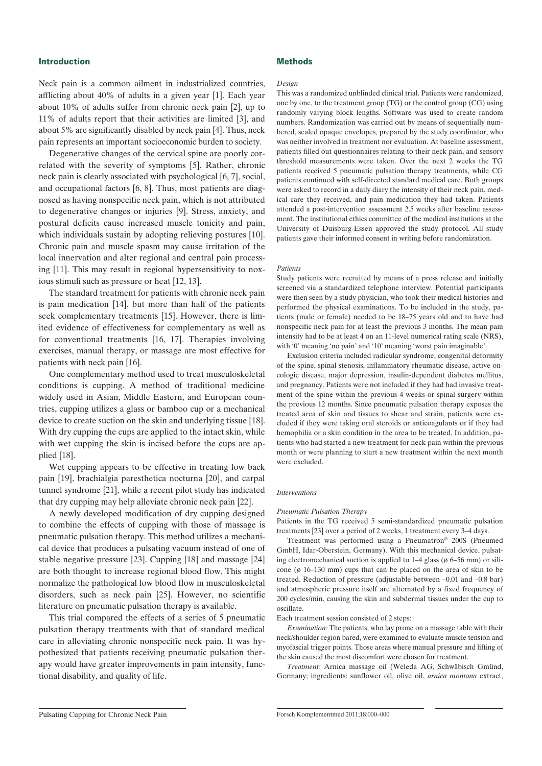## Introduction

## Neck pain is a common ailment in industrialized countries, afflicting about 40% of adults in a given year [1]. Each year about 10% of adults suffer from chronic neck pain [2], up to 11% of adults report that their activities are limited [3], and about 5% are significantly disabled by neck pain [4]. Thus, neck pain represents an important socioeconomic burden to society.

Degenerative changes of the cervical spine are poorly correlated with the severity of symptoms [5]. Rather, chronic neck pain is clearly associated with psychological [6, 7], social, and occupational factors [6, 8]. Thus, most patients are diagnosed as having nonspecific neck pain, which is not attributed to degenerative changes or injuries [9]. Stress, anxiety, and postural deficits cause increased muscle tonicity and pain, which individuals sustain by adopting relieving postures [10]. Chronic pain and muscle spasm may cause irritation of the local innervation and alter regional and central pain processing [11]. This may result in regional hypersensitivity to noxious stimuli such as pressure or heat [12, 13].

The standard treatment for patients with chronic neck pain is pain medication [14], but more than half of the patients seek complementary treatments [15]. However, there is limited evidence of effectiveness for complementary as well as for conventional treatments [16, 17]. Therapies involving exercises, manual therapy, or massage are most effective for patients with neck pain [16].

One complementary method used to treat musculoskeletal conditions is cupping. A method of traditional medicine widely used in Asian, Middle Eastern, and European countries, cupping utilizes a glass or bamboo cup or a mechanical device to create suction on the skin and underlying tissue [18]. With dry cupping the cups are applied to the intact skin, while with wet cupping the skin is incised before the cups are applied [18].

Wet cupping appears to be effective in treating low back pain [19], brachialgia paresthetica nocturna [20], and carpal tunnel syndrome [21], while a recent pilot study has indicated that dry cupping may help alleviate chronic neck pain [22].

A newly developed modification of dry cupping designed to combine the effects of cupping with those of massage is pneumatic pulsation therapy. This method utilizes a mechanical device that produces a pulsating vacuum instead of one of stable negative pressure [23]. Cupping [18] and massage [24] are both thought to increase regional blood flow. This might normalize the pathological low blood flow in musculoskeletal disorders, such as neck pain [25]. However, no scientific literature on pneumatic pulsation therapy is available.

This trial compared the effects of a series of 5 pneumatic pulsation therapy treatments with that of standard medical care in alleviating chronic nonspecific neck pain. It was hypothesized that patients receiving pneumatic pulsation therapy would have greater improvements in pain intensity, functional disability, and quality of life.

## **Methods**

#### *Design*

This was a randomized unblinded clinical trial. Patients were randomized, one by one, to the treatment group (TG) or the control group (CG) using randomly varying block lengths. Software was used to create random numbers. Randomization was carried out by means of sequentially numbered, sealed opaque envelopes, prepared by the study coordinator, who was neither involved in treatment nor evaluation. At baseline assessment, patients filled out questionnaires relating to their neck pain, and sensory threshold measurements were taken. Over the next 2 weeks the TG patients received 5 pneumatic pulsation therapy treatments, while CG patients continued with self-directed standard medical care. Both groups were asked to record in a daily diary the intensity of their neck pain, medical care they received, and pain medication they had taken. Patients attended a post-intervention assessment 2.5 weeks after baseline assessment. The institutional ethics committee of the medical institutions at the University of Duisburg-Essen approved the study protocol. All study patients gave their informed consent in writing before randomization.

#### *Patients*

Study patients were recruited by means of a press release and initially screened via a standardized telephone interview. Potential participants were then seen by a study physician, who took their medical histories and performed the physical examinations. To be included in the study, patients (male or female) needed to be 18–75 years old and to have had nonspecific neck pain for at least the previous 3 months. The mean pain intensity had to be at least 4 on an 11-level numerical rating scale (NRS), with '0' meaning 'no pain' and '10' meaning 'worst pain imaginable'.

Exclusion criteria included radicular syndrome, congenital deformity of the spine, spinal stenosis, inflammatory rheumatic disease, active oncologic disease, major depression, insulin-dependent diabetes mellitus, and pregnancy. Patients were not included if they had had invasive treatment of the spine within the previous 4 weeks or spinal surgery within the previous 12 months. Since pneumatic pulsation therapy exposes the treated area of skin and tissues to shear and strain, patients were excluded if they were taking oral steroids or anticoagulants or if they had hemophilia or a skin condition in the area to be treated. In addition, patients who had started a new treatment for neck pain within the previous month or were planning to start a new treatment within the next month were excluded.

#### *Interventions*

#### *Pneumatic Pulsation Therapy*

Patients in the TG received 5 semi-standardized pneumatic pulsation treatments [23] over a period of 2 weeks, 1 treatment every 3–4 days.

Treatment was performed using a Pneumatron® 200S (Pneumed GmbH, Idar-Oberstein, Germany). With this mechanical device, pulsating electromechanical suction is applied to  $1-4$  glass ( $\phi$  6–56 mm) or silicone (ø 16–130 mm) cups that can be placed on the area of skin to be treated. Reduction of pressure (adjustable between –0.01 and –0.8 bar) and atmospheric pressure itself are alternated by a fixed frequency of 200 cycles/min, causing the skin and subdermal tissues under the cup to oscillate.

Each treatment session consisted of 2 steps:

*Examination:* The patients, who lay prone on a massage table with their neck/shoulder region bared, were examined to evaluate muscle tension and myofascial trigger points. Those areas where manual pressure and lifting of the skin caused the most discomfort were chosen for treatment.

*Treatment:* Arnica massage oil (Weleda AG, Schwäbisch Gmünd, Germany; ingredients: sunflower oil, olive oil, *arnica montana* extract,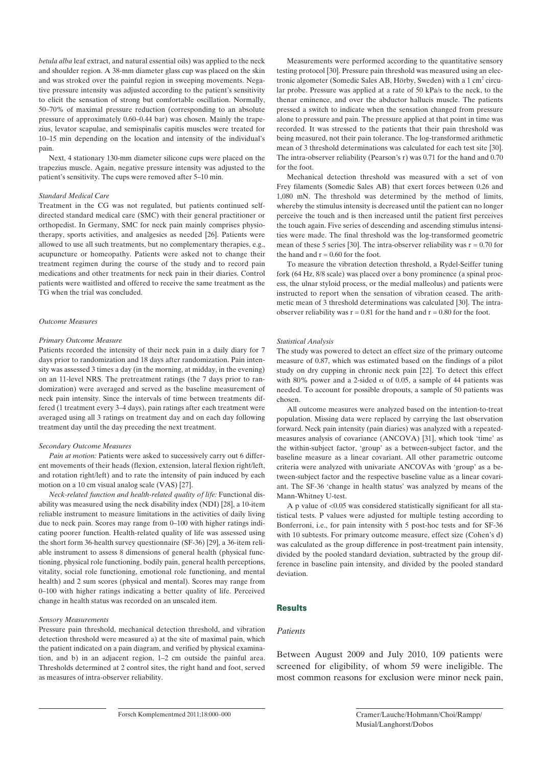*betula alba* leaf extract, and natural essential oils) was applied to the neck and shoulder region. A 38-mm diameter glass cup was placed on the skin and was stroked over the painful region in sweeping movements. Negative pressure intensity was adjusted according to the patient's sensitivity to elicit the sensation of strong but comfortable oscillation. Normally, 50–70% of maximal pressure reduction (corresponding to an absolute pressure of approximately 0.60–0.44 bar) was chosen. Mainly the trapezius, levator scapulae, and semispinalis capitis muscles were treated for 10–15 min depending on the location and intensity of the individual's pain.

Next, 4 stationary 130-mm diameter silicone cups were placed on the trapezius muscle. Again, negative pressure intensity was adjusted to the patient's sensitivity. The cups were removed after 5–10 min.

#### *Standard Medical Care*

Treatment in the CG was not regulated, but patients continued selfdirected standard medical care (SMC) with their general practitioner or orthopedist. In Germany, SMC for neck pain mainly comprises physiotherapy, sports activities, and analgesics as needed [26]. Patients were allowed to use all such treatments, but no complementary therapies, e.g., acupuncture or homeopathy. Patients were asked not to change their treatment regimen during the course of the study and to record pain medications and other treatments for neck pain in their diaries. Control patients were waitlisted and offered to receive the same treatment as the TG when the trial was concluded.

#### *Outcome Measures*

#### *Primary Outcome Measure*

Patients recorded the intensity of their neck pain in a daily diary for 7 days prior to randomization and 18 days after randomization. Pain intensity was assessed 3 times a day (in the morning, at midday, in the evening) on an 11-level NRS. The pretreatment ratings (the 7 days prior to randomization) were averaged and served as the baseline measurement of neck pain intensity. Since the intervals of time between treatments differed (1 treatment every 3–4 days), pain ratings after each treatment were averaged using all 3 ratings on treatment day and on each day following treatment day until the day preceding the next treatment.

#### *Secondary Outcome Measures*

*Pain at motion:* Patients were asked to successively carry out 6 different movements of their heads (flexion, extension, lateral flexion right/left, and rotation right/left) and to rate the intensity of pain induced by each motion on a 10 cm visual analog scale (VAS) [27].

*Neck-related function and health-related quality of life:* Functional disability was measured using the neck disability index (NDI) [28], a 10-item reliable instrument to measure limitations in the activities of daily living due to neck pain. Scores may range from 0–100 with higher ratings indicating poorer function. Health-related quality of life was assessed using the short form 36-health survey questionnaire (SF-36) [29], a 36-item reliable instrument to assess 8 dimensions of general health (physical functioning, physical role functioning, bodily pain, general health perceptions, vitality, social role functioning, emotional role functioning, and mental health) and 2 sum scores (physical and mental). Scores may range from 0–100 with higher ratings indicating a better quality of life. Perceived change in health status was recorded on an unscaled item.

#### *Sensory Measurements*

Pressure pain threshold, mechanical detection threshold, and vibration detection threshold were measured a) at the site of maximal pain, which the patient indicated on a pain diagram, and verified by physical examination, and b) in an adjacent region, 1–2 cm outside the painful area. Thresholds determined at 2 control sites, the right hand and foot, served as measures of intra-observer reliability.

Measurements were performed according to the quantitative sensory testing protocol [30]. Pressure pain threshold was measured using an electronic algometer (Somedic Sales AB, Hörby, Sweden) with a 1 cm<sup>2</sup> circular probe. Pressure was applied at a rate of 50 kPa/s to the neck, to the thenar eminence, and over the abductor hallucis muscle. The patients pressed a switch to indicate when the sensation changed from pressure alone to pressure and pain. The pressure applied at that point in time was recorded. It was stressed to the patients that their pain threshold was being measured, not their pain tolerance. The log-transformed arithmetic mean of 3 threshold determinations was calculated for each test site [30]. The intra-observer reliability (Pearson's r) was 0.71 for the hand and 0.70 for the foot.

Mechanical detection threshold was measured with a set of von Frey filaments (Somedic Sales AB) that exert forces between 0.26 and 1,080 mN. The threshold was determined by the method of limits, whereby the stimulus intensity is decreased until the patient can no longer perceive the touch and is then increased until the patient first perceives the touch again. Five series of descending and ascending stimulus intensities were made. The final threshold was the log-transformed geometric mean of these 5 series [30]. The intra-observer reliability was  $r = 0.70$  for the hand and  $r = 0.60$  for the foot.

To measure the vibration detection threshold, a Rydel-Seiffer tuning fork (64 Hz, 8/8 scale) was placed over a bony prominence (a spinal process, the ulnar styloid process, or the medial malleolus) and patients were instructed to report when the sensation of vibration ceased. The arithmetic mean of 3 threshold determinations was calculated [30]. The intraobserver reliability was  $r = 0.81$  for the hand and  $r = 0.80$  for the foot.

#### *Statistical Analysis*

The study was powered to detect an effect size of the primary outcome measure of 0.87, which was estimated based on the findings of a pilot study on dry cupping in chronic neck pain [22]. To detect this effect with 80% power and a 2-sided  $\alpha$  of 0.05, a sample of 44 patients was needed. To account for possible dropouts, a sample of 50 patients was chosen.

All outcome measures were analyzed based on the intention-to-treat population. Missing data were replaced by carrying the last observation forward. Neck pain intensity (pain diaries) was analyzed with a repeatedmeasures analysis of covariance (ANCOVA) [31], which took 'time' as the within-subject factor, 'group' as a between-subject factor, and the baseline measure as a linear covariant. All other parametric outcome criteria were analyzed with univariate ANCOVAs with 'group' as a between-subject factor and the respective baseline value as a linear covariant. The SF-36 'change in health status' was analyzed by means of the Mann-Whitney U-test.

A p value of <0.05 was considered statistically significant for all statistical tests. P values were adjusted for multiple testing according to Bonferroni, i.e., for pain intensity with 5 post-hoc tests and for SF-36 with 10 subtests. For primary outcome measure, effect size (Cohen's d) was calculated as the group difference in post-treatment pain intensity, divided by the pooled standard deviation, subtracted by the group difference in baseline pain intensity, and divided by the pooled standard deviation.

## **Results**

## *Patients*

Between August 2009 and July 2010, 109 patients were screened for eligibility, of whom 59 were ineligible. The most common reasons for exclusion were minor neck pain,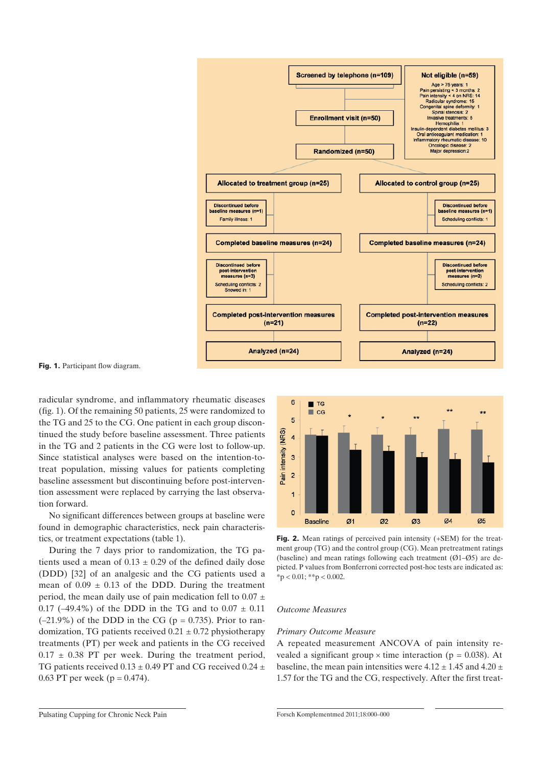

Fig. 1. Participant flow diagram.

radicular syndrome, and inflammatory rheumatic diseases (fig. 1). Of the remaining 50 patients, 25 were randomized to the TG and 25 to the CG. One patient in each group discontinued the study before baseline assessment. Three patients in the TG and 2 patients in the CG were lost to follow-up. Since statistical analyses were based on the intention-totreat population, missing values for patients completing baseline assessment but discontinuing before post-intervention assessment were replaced by carrying the last observation forward.

No significant differences between groups at baseline were found in demographic characteristics, neck pain characteristics, or treatment expectations (table 1).

During the 7 days prior to randomization, the TG patients used a mean of  $0.13 \pm 0.29$  of the defined daily dose (DDD) [32] of an analgesic and the CG patients used a mean of  $0.09 \pm 0.13$  of the DDD. During the treatment period, the mean daily use of pain medication fell to  $0.07 \pm$ 0.17 (-49.4%) of the DDD in the TG and to  $0.07 \pm 0.11$  $(-21.9\%)$  of the DDD in the CG (p = 0.735). Prior to randomization, TG patients received  $0.21 \pm 0.72$  physiotherapy treatments (PT) per week and patients in the CG received  $0.17 \pm 0.38$  PT per week. During the treatment period, TG patients received  $0.13 \pm 0.49$  PT and CG received  $0.24 \pm$ 0.63 PT per week ( $p = 0.474$ ).



Fig. 2. Mean ratings of perceived pain intensity (+SEM) for the treatment group (TG) and the control group (CG). Mean pretreatment ratings (baseline) and mean ratings following each treatment  $(Ø1–Ø5)$  are depicted. P values from Bonferroni corrected post-hoc tests are indicated as:  $*$ p < 0.01;  $*$  $*$ p < 0.002.

## *Outcome Measures*

## *Primary Outcome Measure*

A repeated measurement ANCOVA of pain intensity revealed a significant group  $\times$  time interaction (p = 0.038). At baseline, the mean pain intensities were  $4.12 \pm 1.45$  and  $4.20 \pm 1.45$ 1.57 for the TG and the CG, respectively. After the first treat-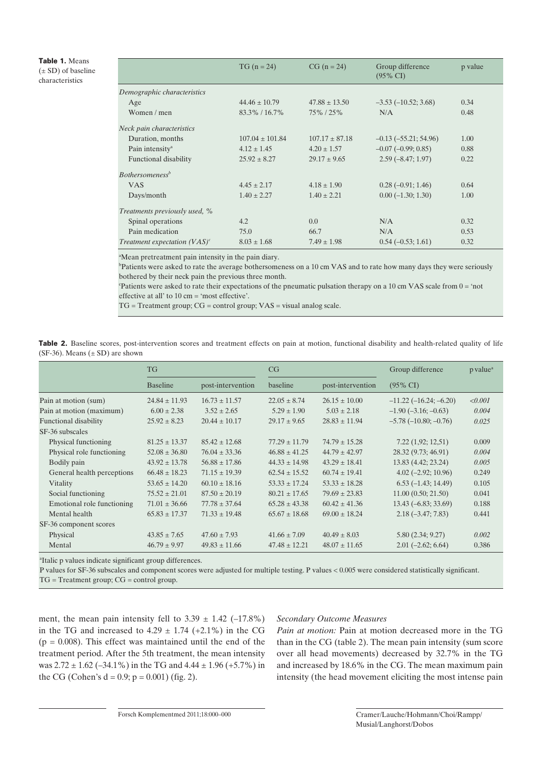Table 1. Means  $(\pm SD)$  of baseline characteristics

|                                      | $TG (n = 24)$       | $CG (n = 24)$      | Group difference<br>$(95\% \text{ CI})$ | p value |
|--------------------------------------|---------------------|--------------------|-----------------------------------------|---------|
| Demographic characteristics          |                     |                    |                                         |         |
| Age                                  | $44.46 \pm 10.79$   | $47.88 \pm 13.50$  | $-3.53(-10.52; 3.68)$                   | 0.34    |
| Women / men                          | 83.3% / 16.7%       | 75%/25%            | N/A                                     | 0.48    |
| Neck pain characteristics            |                     |                    |                                         |         |
| Duration, months                     | $107.04 \pm 101.84$ | $107.17 \pm 87.18$ | $-0.13(-55.21; 54.96)$                  | 1.00    |
| Pain intensity <sup>a</sup>          | $4.12 \pm 1.45$     | $4.20 \pm 1.57$    | $-0.07$ $(-0.99; 0.85)$                 | 0.88    |
| Functional disability                | $25.92 \pm 8.27$    | $29.17 + 9.65$     | $2.59(-8.47; 1.97)$                     | 0.22    |
| <i>Bothersomeness</i> <sup>b</sup>   |                     |                    |                                         |         |
| <b>VAS</b>                           | $4.45 \pm 2.17$     | $4.18 \pm 1.90$    | $0.28(-0.91; 1.46)$                     | 0.64    |
| Days/month                           | $1.40 \pm 2.27$     | $1.40 \pm 2.21$    | $0.00(-1.30; 1.30)$                     | 1.00    |
| <i>Treatments previously used, %</i> |                     |                    |                                         |         |
| Spinal operations                    | 4.2                 | 0.0                | N/A                                     | 0.32    |
| Pain medication                      | 75.0                | 66.7               | N/A                                     | 0.53    |
| Treatment expectation $(VAS)^c$      | $8.03 \pm 1.68$     | $7.49 \pm 1.98$    | $0.54(-0.53; 1.61)$                     | 0.32    |

<sup>a</sup>Mean pretreatment pain intensity in the pain diary.

b Patients were asked to rate the average bothersomeness on a 10 cm VAS and to rate how many days they were seriously bothered by their neck pain the previous three month.

Patients were asked to rate their expectations of the pneumatic pulsation therapy on a 10 cm VAS scale from 0 = 'not effective at all' to 10 cm = 'most effective'.

 $TG = Treatment$  group;  $CG = control$  group;  $VAS = visual$  analog scale.

Table 2. Baseline scores, post-intervention scores and treatment effects on pain at motion, functional disability and health-related quality of life (SF-36). Means  $(\pm SD)$  are shown

|                            | <b>TG</b>         |                   | CG                |                   | Group difference              | $p$ value <sup><math>a</math></sup> |
|----------------------------|-------------------|-------------------|-------------------|-------------------|-------------------------------|-------------------------------------|
|                            | <b>Baseline</b>   | post-intervention | baseline          | post-intervention | $(95\% \text{ CI})$           |                                     |
| Pain at motion (sum)       | $24.84 \pm 11.93$ | $16.73 \pm 11.57$ | $22.05 \pm 8.74$  | $26.15 \pm 10.00$ | $-11.22(-16.24; -6.20)$       | < 0.001                             |
| Pain at motion (maximum)   | $6.00 \pm 2.38$   | $3.52 \pm 2.65$   | $5.29 \pm 1.90$   | $5.03 \pm 2.18$   | $-1.90$ ( $-3.16$ ; $-0.63$ ) | 0.004                               |
| Functional disability      | $25.92 \pm 8.23$  | $20.44 \pm 10.17$ | $29.17 \pm 9.65$  | $28.83 \pm 11.94$ | $-5.78(-10.80; -0.76)$        | 0.025                               |
| SF-36 subscales            |                   |                   |                   |                   |                               |                                     |
| Physical functioning       | $81.25 \pm 13.37$ | $85.42 \pm 12.68$ | $77.29 \pm 11.79$ | $74.79 + 15.28$   | 7.22(1,92;12,51)              | 0.009                               |
| Physical role functioning  | $52.08 \pm 36.80$ | $76.04 \pm 33.36$ | $46.88 \pm 41.25$ | $44.79 \pm 42.97$ | 28.32 (9.73; 46.91)           | 0.004                               |
| Bodily pain                | $43.92 \pm 13.78$ | $56.88 + 17.86$   | $44.33 + 14.98$   | $43.29 \pm 18.41$ | 13.83 (4.42; 23.24)           | 0.005                               |
| General health perceptions | $66.48 \pm 18.23$ | $71.15 \pm 19.39$ | $62.54 \pm 15.52$ | $60.74 \pm 19.41$ | $4.02$ ( $-2.92$ ; 10.96)     | 0.249                               |
| Vitality                   | $53.65 \pm 14.20$ | $60.10 \pm 18.16$ | $53.33 \pm 17.24$ | $53.33 \pm 18.28$ | $6.53$ ( $-1.43$ ; 14.49)     | 0.105                               |
| Social functioning         | $75.52 \pm 21.01$ | $87.50 \pm 20.19$ | $80.21 \pm 17.65$ | $79.69 \pm 23.83$ | 11.00(0.50; 21.50)            | 0.041                               |
| Emotional role functioning | $71.01 \pm 36.66$ | $77.78 \pm 37.64$ | $65.28 \pm 43.38$ | $60.42 \pm 41.36$ | $13.43(-6.83; 33.69)$         | 0.188                               |
| Mental health              | $65.83 \pm 17.37$ | $71.33 \pm 19.48$ | $65.67 \pm 18.68$ | $69.00 \pm 18.24$ | $2.18(-3.47; 7.83)$           | 0.441                               |
| SF-36 component scores     |                   |                   |                   |                   |                               |                                     |
| Physical                   | $43.85 \pm 7.65$  | $47.60 \pm 7.93$  | $41.66 \pm 7.09$  | $40.49 \pm 8.03$  | 5.80 (2.34; 9.27)             | 0.002                               |
| Mental                     | $46.79 \pm 9.97$  | $49.83 \pm 11.66$ | $47.48 \pm 12.21$ | $48.07 \pm 11.65$ | $2.01 (-2.62; 6.64)$          | 0.386                               |

a Italic p values indicate significant group differences.

P values for SF-36 subscales and component scores were adjusted for multiple testing. P values < 0.005 were considered statistically significant.  $TG = Treatment$  group;  $CG = control$  group.

ment, the mean pain intensity fell to  $3.39 \pm 1.42$  (-17.8%) in the TG and increased to  $4.29 \pm 1.74$  (+2.1%) in the CG  $(p = 0.008)$ . This effect was maintained until the end of the treatment period. After the 5th treatment, the mean intensity was  $2.72 \pm 1.62$  (-34.1%) in the TG and  $4.44 \pm 1.96$  (+5.7%) in the CG (Cohen's  $d = 0.9$ ;  $p = 0.001$ ) (fig. 2).

## *Secondary Outcome Measures*

*Pain at motion:* Pain at motion decreased more in the TG than in the CG (table 2). The mean pain intensity (sum score over all head movements) decreased by 32.7% in the TG and increased by 18.6% in the CG. The mean maximum pain intensity (the head movement eliciting the most intense pain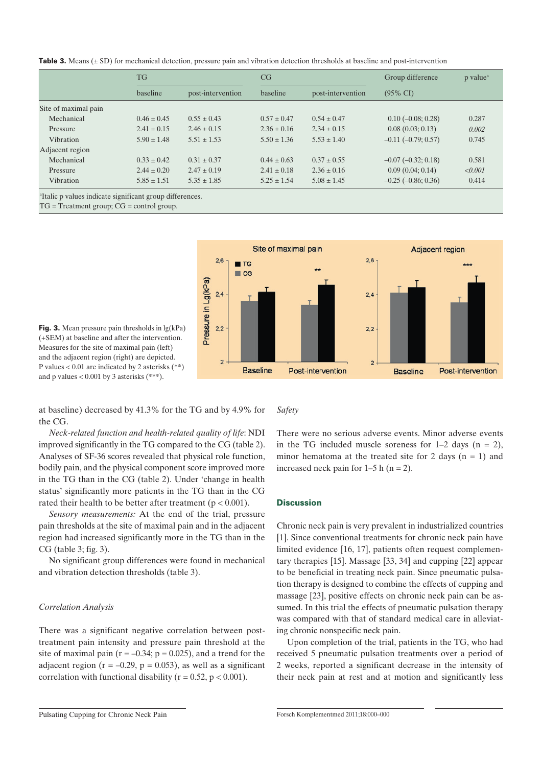**Table 3.** Means  $(\pm SD)$  for mechanical detection, pressure pain and vibration detection thresholds at baseline and post-intervention

|                                                                      | <b>TG</b>       |                   | CG              |                   | Group difference          | p value <sup>a</sup> |  |
|----------------------------------------------------------------------|-----------------|-------------------|-----------------|-------------------|---------------------------|----------------------|--|
|                                                                      | baseline        | post-intervention | baseline        | post-intervention | $(95\% \text{ CI})$       |                      |  |
| Site of maximal pain                                                 |                 |                   |                 |                   |                           |                      |  |
| Mechanical                                                           | $0.46 \pm 0.45$ | $0.55 \pm 0.43$   | $0.57 \pm 0.47$ | $0.54 \pm 0.47$   | $0.10 (-0.08; 0.28)$      | 0.287                |  |
| Pressure                                                             | $2.41 \pm 0.15$ | $2.46 \pm 0.15$   | $2.36 \pm 0.16$ | $2.34 \pm 0.15$   | 0.08(0.03; 0.13)          | 0.002                |  |
| Vibration                                                            | $5.90 \pm 1.48$ | $5.51 + 1.53$     | $5.50 + 1.36$   | $5.53 + 1.40$     | $-0.11$ $(-0.79; 0.57)$   | 0.745                |  |
| Adjacent region                                                      |                 |                   |                 |                   |                           |                      |  |
| Mechanical                                                           | $0.33 + 0.42$   | $0.31 \pm 0.37$   | $0.44 \pm 0.63$ | $0.37 \pm 0.55$   | $-0.07$ $(-0.32; 0.18)$   | 0.581                |  |
| Pressure                                                             | $2.44 \pm 0.20$ | $2.47 \pm 0.19$   | $2.41 \pm 0.18$ | $2.36 \pm 0.16$   | 0.09(0.04; 0.14)          | < 0.001              |  |
| Vibration                                                            | $5.85 \pm 1.51$ | $5.35 \pm 1.85$   | $5.25 \pm 1.54$ | $5.08 \pm 1.45$   | $-0.25$ ( $-0.86$ ; 0.36) | 0.414                |  |
| <sup>a</sup> Italic p values indicate significant group differences. |                 |                   |                 |                   |                           |                      |  |

TG = Treatment group; CG = control group.



Fig. 3. Mean pressure pain thresholds in  $\lg(kPa)$ (+SEM) at baseline and after the intervention. Measures for the site of maximal pain (left) and the adjacent region (right) are depicted. P values < 0.01 are indicated by 2 asterisks (\*\*) and p values  $< 0.001$  by 3 asterisks (\*\*\*).

at baseline) decreased by 41.3% for the TG and by 4.9% for the CG.

*Neck-related function and health-related quality of life*: NDI improved significantly in the TG compared to the CG (table 2). Analyses of SF-36 scores revealed that physical role function, bodily pain, and the physical component score improved more in the TG than in the CG (table 2). Under 'change in health status' significantly more patients in the TG than in the CG rated their health to be better after treatment ( $p < 0.001$ ).

*Sensory measurements:* At the end of the trial, pressure pain thresholds at the site of maximal pain and in the adjacent region had increased significantly more in the TG than in the CG (table 3; fig. 3).

No significant group differences were found in mechanical and vibration detection thresholds (table 3).

## *Correlation Analysis*

There was a significant negative correlation between posttreatment pain intensity and pressure pain threshold at the site of maximal pain ( $r = -0.34$ ;  $p = 0.025$ ), and a trend for the adjacent region ( $r = -0.29$ ,  $p = 0.053$ ), as well as a significant correlation with functional disability ( $r = 0.52$ ,  $p < 0.001$ ).

*Safety*

There were no serious adverse events. Minor adverse events in the TG included muscle soreness for  $1-2$  days  $(n = 2)$ , minor hematoma at the treated site for 2 days  $(n = 1)$  and increased neck pain for  $1-5$  h (n = 2).

## **Discussion**

Chronic neck pain is very prevalent in industrialized countries [1]. Since conventional treatments for chronic neck pain have limited evidence [16, 17], patients often request complementary therapies [15]. Massage [33, 34] and cupping [22] appear to be beneficial in treating neck pain. Since pneumatic pulsation therapy is designed to combine the effects of cupping and massage [23], positive effects on chronic neck pain can be assumed. In this trial the effects of pneumatic pulsation therapy was compared with that of standard medical care in alleviating chronic nonspecific neck pain.

Upon completion of the trial, patients in the TG, who had received 5 pneumatic pulsation treatments over a period of 2 weeks, reported a significant decrease in the intensity of their neck pain at rest and at motion and significantly less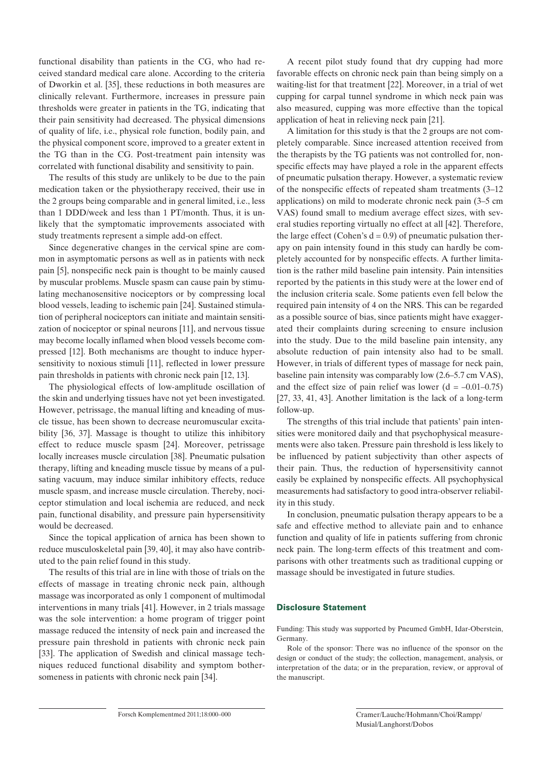functional disability than patients in the CG, who had received standard medical care alone. According to the criteria of Dworkin et al. [35], these reductions in both measures are clinically relevant. Furthermore, increases in pressure pain thresholds were greater in patients in the TG, indicating that their pain sensitivity had decreased. The physical dimensions of quality of life, i.e., physical role function, bodily pain, and the physical component score, improved to a greater extent in the TG than in the CG. Post-treatment pain intensity was correlated with functional disability and sensitivity to pain.

The results of this study are unlikely to be due to the pain medication taken or the physiotherapy received, their use in the 2 groups being comparable and in general limited, i.e., less than 1 DDD/week and less than 1 PT/month. Thus, it is unlikely that the symptomatic improvements associated with study treatments represent a simple add-on effect.

Since degenerative changes in the cervical spine are common in asymptomatic persons as well as in patients with neck pain [5], nonspecific neck pain is thought to be mainly caused by muscular problems. Muscle spasm can cause pain by stimulating mechanosensitive nociceptors or by compressing local blood vessels, leading to ischemic pain [24]. Sustained stimulation of peripheral nociceptors can initiate and maintain sensitization of nociceptor or spinal neurons [11], and nervous tissue may become locally inflamed when blood vessels become compressed [12]. Both mechanisms are thought to induce hypersensitivity to noxious stimuli [11], reflected in lower pressure pain thresholds in patients with chronic neck pain [12, 13].

The physiological effects of low-amplitude oscillation of the skin and underlying tissues have not yet been investigated. However, petrissage, the manual lifting and kneading of muscle tissue, has been shown to decrease neuromuscular excitability [36, 37]. Massage is thought to utilize this inhibitory effect to reduce muscle spasm [24]. Moreover, petrissage locally increases muscle circulation [38]. Pneumatic pulsation therapy, lifting and kneading muscle tissue by means of a pulsating vacuum, may induce similar inhibitory effects, reduce muscle spasm, and increase muscle circulation. Thereby, nociceptor stimulation and local ischemia are reduced, and neck pain, functional disability, and pressure pain hypersensitivity would be decreased.

Since the topical application of arnica has been shown to reduce musculoskeletal pain [39, 40], it may also have contributed to the pain relief found in this study.

The results of this trial are in line with those of trials on the effects of massage in treating chronic neck pain, although massage was incorporated as only 1 component of multimodal interventions in many trials [41]. However, in 2 trials massage was the sole intervention: a home program of trigger point massage reduced the intensity of neck pain and increased the pressure pain threshold in patients with chronic neck pain [33]. The application of Swedish and clinical massage techniques reduced functional disability and symptom bothersomeness in patients with chronic neck pain [34].

A recent pilot study found that dry cupping had more favorable effects on chronic neck pain than being simply on a waiting-list for that treatment [22]. Moreover, in a trial of wet cupping for carpal tunnel syndrome in which neck pain was also measured, cupping was more effective than the topical application of heat in relieving neck pain [21].

A limitation for this study is that the 2 groups are not completely comparable. Since increased attention received from the therapists by the TG patients was not controlled for, nonspecific effects may have played a role in the apparent effects of pneumatic pulsation therapy. However, a systematic review of the nonspecific effects of repeated sham treatments (3–12 applications) on mild to moderate chronic neck pain (3–5 cm VAS) found small to medium average effect sizes, with several studies reporting virtually no effect at all [42]. Therefore, the large effect (Cohen's  $d = 0.9$ ) of pneumatic pulsation therapy on pain intensity found in this study can hardly be completely accounted for by nonspecific effects. A further limitation is the rather mild baseline pain intensity. Pain intensities reported by the patients in this study were at the lower end of the inclusion criteria scale. Some patients even fell below the required pain intensity of 4 on the NRS. This can be regarded as a possible source of bias, since patients might have exaggerated their complaints during screening to ensure inclusion into the study. Due to the mild baseline pain intensity, any absolute reduction of pain intensity also had to be small. However, in trials of different types of massage for neck pain, baseline pain intensity was comparably low (2.6–5.7 cm VAS), and the effect size of pain relief was lower  $(d = -0.01 - 0.75)$ [27, 33, 41, 43]. Another limitation is the lack of a long-term follow-up.

The strengths of this trial include that patients' pain intensities were monitored daily and that psychophysical measurements were also taken. Pressure pain threshold is less likely to be influenced by patient subjectivity than other aspects of their pain. Thus, the reduction of hypersensitivity cannot easily be explained by nonspecific effects. All psychophysical measurements had satisfactory to good intra-observer reliability in this study.

In conclusion, pneumatic pulsation therapy appears to be a safe and effective method to alleviate pain and to enhance function and quality of life in patients suffering from chronic neck pain. The long-term effects of this treatment and comparisons with other treatments such as traditional cupping or massage should be investigated in future studies.

## Disclosure Statement

Funding: This study was supported by Pneumed GmbH, Idar-Oberstein, Germany.

Role of the sponsor: There was no influence of the sponsor on the design or conduct of the study; the collection, management, analysis, or interpretation of the data; or in the preparation, review, or approval of the manuscript.